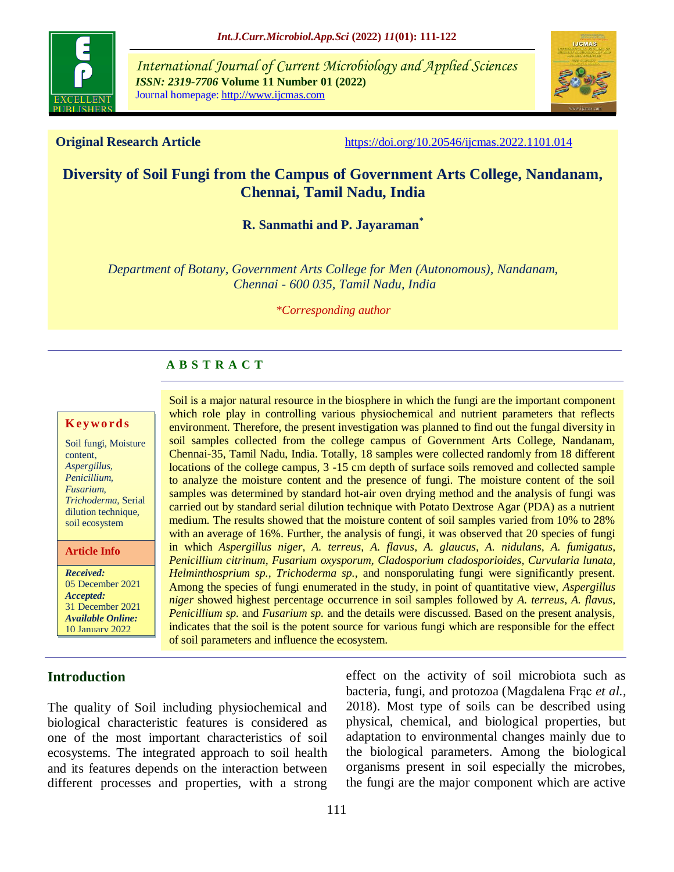

*International Journal of Current Microbiology and Applied Sciences ISSN: 2319-7706* **Volume 11 Number 01 (2022)**  Journal homepage: http://www.ijcmas.com



**Original Research Article** <https://doi.org/10.20546/ijcmas.2022.1101.014>

# **Diversity of Soil Fungi from the Campus of Government Arts College, Nandanam, Chennai, Tamil Nadu, India**

**R. Sanmathi and P. Jayaraman\***

*Department of Botany, Government Arts College for Men (Autonomous), Nandanam, Chennai - 600 035, Tamil Nadu, India*

*\*Corresponding author*

## **A B S T R A C T**

#### **K ey w o rd s**

Soil fungi, Moisture content, *Aspergillus, Penicillium, Fusarium, Trichoderma*, Serial dilution technique, soil ecosystem

**Article Info**

*Received:*  05 December 2021 *Accepted:*  31 December 2021 *Available Online:* 10 January 2022

**Introduction**

Soil is a major natural resource in the biosphere in which the fungi are the important component which role play in controlling various physiochemical and nutrient parameters that reflects environment. Therefore, the present investigation was planned to find out the fungal diversity in soil samples collected from the college campus of Government Arts College, Nandanam, Chennai-35, Tamil Nadu, India. Totally, 18 samples were collected randomly from 18 different locations of the college campus, 3 -15 cm depth of surface soils removed and collected sample to analyze the moisture content and the presence of fungi. The moisture content of the soil samples was determined by standard hot-air oven drying method and the analysis of fungi was carried out by standard serial dilution technique with Potato Dextrose Agar (PDA) as a nutrient medium. The results showed that the moisture content of soil samples varied from 10% to 28% with an average of 16%. Further, the analysis of fungi, it was observed that 20 species of fungi in which *Aspergillus niger, A. terreus, A. flavus, A. glaucus, A. nidulans, A. fumigatus, Penicillium citrinum, Fusarium oxysporum, Cladosporium cladosporioides, Curvularia lunata, Helminthosprium sp., Trichoderma sp.,* and nonsporulating fungi were significantly present. Among the species of fungi enumerated in the study, in point of quantitative view, *Aspergillus niger* showed highest percentage occurrence in soil samples followed by *A. terreus, A. flavus, Penicillium sp.* and *Fusarium sp.* and the details were discussed. Based on the present analysis, indicates that the soil is the potent source for various fungi which are responsible for the effect of soil parameters and influence the ecosystem.

The quality of Soil including physiochemical and biological characteristic features is considered as one of the most important characteristics of soil ecosystems. The integrated approach to soil health and its features depends on the interaction between different processes and properties, with a strong

effect on the activity of soil microbiota such as bacteria, fungi, and protozoa [\(Magdalena Frąc](http://www.frontiersin.org/people/u/314409) *et al.,* 2018). Most type of soils can be described using physical, chemical, and biological properties, but adaptation to environmental changes mainly due to the biological parameters. Among the biological organisms present in soil especially the microbes, the fungi are the major component which are active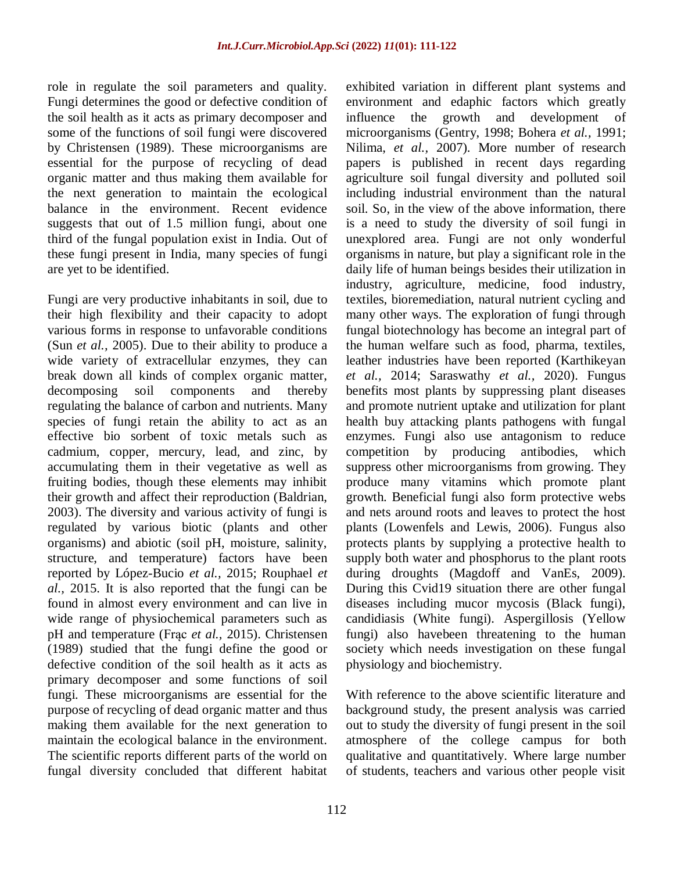role in regulate the soil parameters and quality. Fungi determines the good or defective condition of the soil health as it acts as primary decomposer and some of the functions of soil fungi were discovered by Christensen (1989). These microorganisms are essential for the purpose of recycling of dead organic matter and thus making them available for the next generation to maintain the ecological balance in the environment. Recent evidence suggests that out of 1.5 million fungi, about one third of the fungal population exist in India. Out of these fungi present in India, many species of fungi are yet to be identified.

Fungi are very productive inhabitants in soil, due to their high flexibility and their capacity to adopt various forms in response to unfavorable conditions (Sun *[et al.,](https://www.frontiersin.org/articles/10.3389/fmicb.2018.00707/full#B77)* 2005). Due to their ability to produce a wide variety of extracellular enzymes, they can break down all kinds of complex organic matter, decomposing soil components and thereby regulating the balance of carbon and nutrients. Many species of fungi retain the ability to act as an effective bio sorbent of toxic metals such as cadmium, copper, mercury, lead, and zinc, by accumulating them in their vegetative as well as fruiting bodies, though these elements may inhibit their growth and affect their reproduction [\(Baldrian,](https://www.frontiersin.org/articles/10.3389/fmicb.2018.00707/full#B6)  [2003\)](https://www.frontiersin.org/articles/10.3389/fmicb.2018.00707/full#B6). The diversity and various activity of fungi is regulated by various biotic (plants and other organisms) and abiotic (soil pH, moisture, salinity, structure, and temperature) factors have been reported by [López-Bucio](https://www.frontiersin.org/articles/10.3389/fmicb.2018.00707/full#B55) *et al.,* 2015; [Rouphael](https://www.frontiersin.org/articles/10.3389/fmicb.2018.00707/full#B69) *et al.,* [2015.](https://www.frontiersin.org/articles/10.3389/fmicb.2018.00707/full#B69) It is also reported that the fungi can be found in almost every environment and can live in wide range of physiochemical parameters such as pH and temperature (Frąc *[et al.,](https://www.frontiersin.org/articles/10.3389/fmicb.2018.00707/full#B31)* 2015). Christensen (1989) studied that the fungi define the good or defective condition of the soil health as it acts as primary decomposer and some functions of soil fungi. These microorganisms are essential for the purpose of recycling of dead organic matter and thus making them available for the next generation to maintain the ecological balance in the environment. The scientific reports different parts of the world on fungal diversity concluded that different habitat

exhibited variation in different plant systems and environment and edaphic factors which greatly influence the growth and development of microorganisms (Gentry, 1998; Bohera *et al.,* 1991; Nilima, *et al.,* 2007). More number of research papers is published in recent days regarding agriculture soil fungal diversity and polluted soil including industrial environment than the natural soil. So, in the view of the above information, there is a need to study the diversity of soil fungi in unexplored area. Fungi are not only wonderful organisms in nature, but play a significant role in the daily life of human beings besides their utilization in industry, agriculture, medicine, food industry, textiles, bioremediation, natural nutrient cycling and many other ways. The exploration of fungi through fungal biotechnology has become an integral part of the human welfare such as food, pharma, textiles, leather industries have been reported (Karthikeyan *et al.,* 2014; Saraswathy *et al.,* 2020). Fungus benefits most plants by suppressing plant diseases and promote nutrient uptake and utilization for plant health buy attacking plants pathogens with fungal enzymes. Fungi also use antagonism to reduce competition by producing antibodies, which suppress other microorganisms from growing. They produce many vitamins which promote plant growth. Beneficial fungi also form protective webs and nets around roots and leaves to protect the host plants (Lowenfels and Lewis, 2006). Fungus also protects plants by supplying a protective health to supply both water and phosphorus to the plant roots during droughts (Magdoff and VanEs, 2009). During this Cvid19 situation there are other fungal diseases including mucor mycosis (Black fungi), candidiasis (White fungi). Aspergillosis (Yellow fungi) also havebeen threatening to the human society which needs investigation on these fungal physiology and biochemistry.

With reference to the above scientific literature and background study, the present analysis was carried out to study the diversity of fungi present in the soil atmosphere of the college campus for both qualitative and quantitatively. Where large number of students, teachers and various other people visit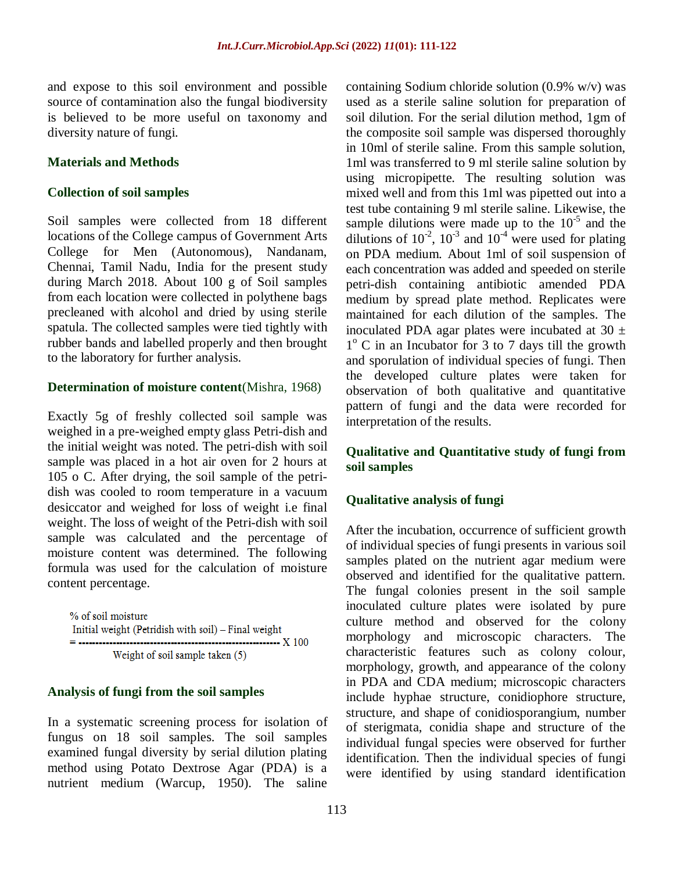and expose to this soil environment and possible source of contamination also the fungal biodiversity is believed to be more useful on taxonomy and diversity nature of fungi.

#### **Materials and Methods**

#### **Collection of soil samples**

Soil samples were collected from 18 different locations of the College campus of Government Arts College for Men (Autonomous), Nandanam, Chennai, Tamil Nadu, India for the present study during March 2018. About 100 g of Soil samples from each location were collected in polythene bags precleaned with alcohol and dried by using sterile spatula. The collected samples were tied tightly with rubber bands and labelled properly and then brought to the laboratory for further analysis.

#### **Determination of moisture content**(Mishra, 1968)

Exactly 5g of freshly collected soil sample was weighed in a pre-weighed empty glass Petri-dish and the initial weight was noted. The petri-dish with soil sample was placed in a hot air oven for 2 hours at 105 o C. After drying, the soil sample of the petridish was cooled to room temperature in a vacuum desiccator and weighed for loss of weight i.e final weight. The loss of weight of the Petri-dish with soil sample was calculated and the percentage of moisture content was determined. The following formula was used for the calculation of moisture content percentage.

% of soil moisture Initial weight (Petridish with soil) - Final weight ----------------------------- X 100 Weight of soil sample taken (5)

#### **Analysis of fungi from the soil samples**

In a systematic screening process for isolation of fungus on 18 soil samples. The soil samples examined fungal diversity by serial dilution plating method using Potato Dextrose Agar (PDA) is a nutrient medium (Warcup, 1950). The saline

containing Sodium chloride solution (0.9% w/v) was used as a sterile saline solution for preparation of soil dilution. For the serial dilution method, 1gm of the composite soil sample was dispersed thoroughly in 10ml of sterile saline. From this sample solution, 1ml was transferred to 9 ml sterile saline solution by using micropipette. The resulting solution was mixed well and from this 1ml was pipetted out into a test tube containing 9 ml sterile saline. Likewise, the sample dilutions were made up to the  $10^{-5}$  and the dilutions of  $10^{-2}$ ,  $10^{-3}$  and  $10^{-4}$  were used for plating on PDA medium. About 1ml of soil suspension of each concentration was added and speeded on sterile petri-dish containing antibiotic amended PDA medium by spread plate method. Replicates were maintained for each dilution of the samples. The inoculated PDA agar plates were incubated at  $30 \pm$ 1<sup>°</sup> C in an Incubator for 3 to 7 days till the growth and sporulation of individual species of fungi. Then the developed culture plates were taken for observation of both qualitative and quantitative pattern of fungi and the data were recorded for interpretation of the results.

## **Qualitative and Quantitative study of fungi from soil samples**

#### **Qualitative analysis of fungi**

After the incubation, occurrence of sufficient growth of individual species of fungi presents in various soil samples plated on the nutrient agar medium were observed and identified for the qualitative pattern. The fungal colonies present in the soil sample inoculated culture plates were isolated by pure culture method and observed for the colony morphology and microscopic characters. The characteristic features such as colony colour, morphology, growth, and appearance of the colony in PDA and CDA medium; microscopic characters include hyphae structure, conidiophore structure, structure, and shape of conidiosporangium, number of sterigmata, conidia shape and structure of the individual fungal species were observed for further identification. Then the individual species of fungi were identified by using standard identification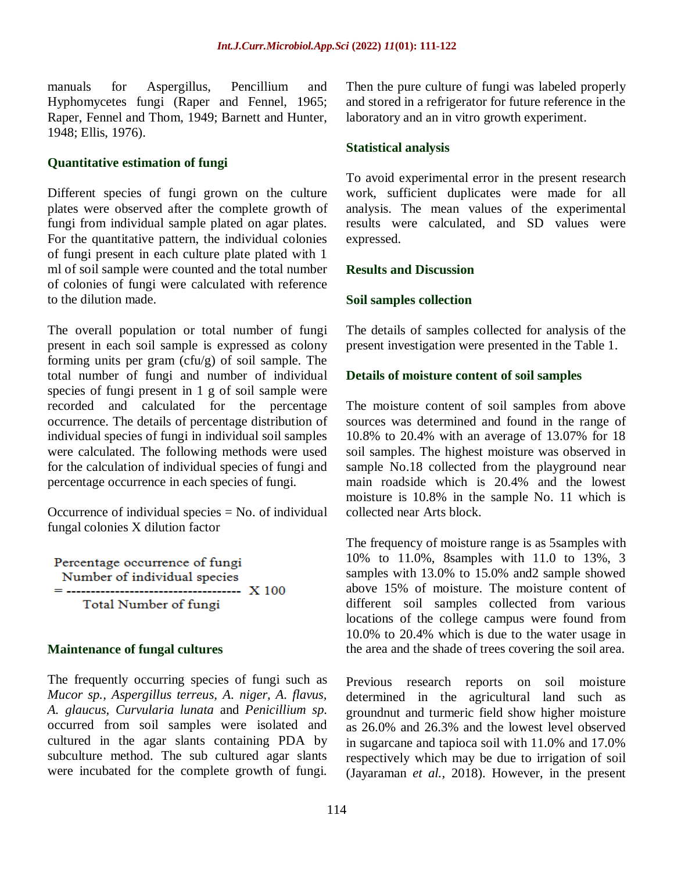manuals for Aspergillus, Pencillium and Hyphomycetes fungi (Raper and Fennel, 1965; Raper, Fennel and Thom, 1949; Barnett and Hunter, 1948; Ellis, 1976).

#### **Quantitative estimation of fungi**

Different species of fungi grown on the culture plates were observed after the complete growth of fungi from individual sample plated on agar plates. For the quantitative pattern, the individual colonies of fungi present in each culture plate plated with 1 ml of soil sample were counted and the total number of colonies of fungi were calculated with reference to the dilution made.

The overall population or total number of fungi present in each soil sample is expressed as colony forming units per gram  $(cfu/g)$  of soil sample. The total number of fungi and number of individual species of fungi present in 1 g of soil sample were recorded and calculated for the percentage occurrence. The details of percentage distribution of individual species of fungi in individual soil samples were calculated. The following methods were used for the calculation of individual species of fungi and percentage occurrence in each species of fungi.

Occurrence of individual species  $=$  No. of individual fungal colonies X dilution factor

Percentage occurrence of fungi Number of individual species Total Number of fungi

#### **Maintenance of fungal cultures**

The frequently occurring species of fungi such as *Mucor sp., Aspergillus terreus, A. niger, A. flavus, A. glaucus, Curvularia lunata* and *Penicillium sp.* occurred from soil samples were isolated and cultured in the agar slants containing PDA by subculture method. The sub cultured agar slants were incubated for the complete growth of fungi.

Then the pure culture of fungi was labeled properly and stored in a refrigerator for future reference in the laboratory and an in vitro growth experiment.

#### **Statistical analysis**

To avoid experimental error in the present research work, sufficient duplicates were made for all analysis. The mean values of the experimental results were calculated, and SD values were expressed.

#### **Results and Discussion**

#### **Soil samples collection**

The details of samples collected for analysis of the present investigation were presented in the Table 1.

#### **Details of moisture content of soil samples**

The moisture content of soil samples from above sources was determined and found in the range of 10.8% to 20.4% with an average of 13.07% for 18 soil samples. The highest moisture was observed in sample No.18 collected from the playground near main roadside which is 20.4% and the lowest moisture is 10.8% in the sample No. 11 which is collected near Arts block.

The frequency of moisture range is as 5samples with 10% to 11.0%, 8samples with 11.0 to 13%, 3 samples with 13.0% to 15.0% and2 sample showed above 15% of moisture. The moisture content of different soil samples collected from various locations of the college campus were found from 10.0% to 20.4% which is due to the water usage in the area and the shade of trees covering the soil area.

Previous research reports on soil moisture determined in the agricultural land such as groundnut and turmeric field show higher moisture as 26.0% and 26.3% and the lowest level observed in sugarcane and tapioca soil with 11.0% and 17.0% respectively which may be due to irrigation of soil (Jayaraman *et al.,* 2018). However, in the present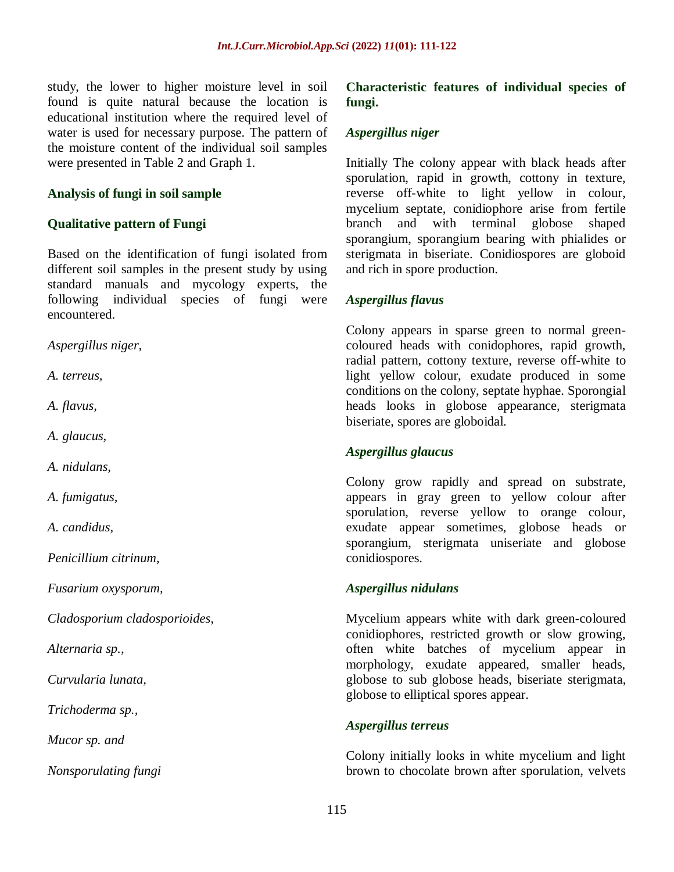study, the lower to higher moisture level in soil found is quite natural because the location is educational institution where the required level of water is used for necessary purpose. The pattern of the moisture content of the individual soil samples were presented in Table 2 and Graph 1.

#### **Analysis of fungi in soil sample**

## **Qualitative pattern of Fungi**

Based on the identification of fungi isolated from different soil samples in the present study by using standard manuals and mycology experts, the following individual species of fungi were encountered.

*Aspergillus niger,* 

*A. terreus,* 

*A. flavus,* 

*A. glaucus,* 

*A. nidulans,* 

*A. fumigatus,* 

*A. candidus,* 

*Penicillium citrinum,* 

*Fusarium oxysporum,* 

*Cladosporium cladosporioides,* 

*Alternaria sp.,* 

*Curvularia lunata,* 

*Trichoderma sp.,* 

*Mucor sp. and* 

*Nonsporulating fungi*

**Characteristic features of individual species of fungi.**

## *Aspergillus niger*

Initially The colony appear with black heads after sporulation, rapid in growth, cottony in texture, reverse off-white to light yellow in colour, mycelium septate, conidiophore arise from fertile branch and with terminal globose shaped sporangium, sporangium bearing with phialides or sterigmata in biseriate. Conidiospores are globoid and rich in spore production.

## *Aspergillus flavus*

Colony appears in sparse green to normal greencoloured heads with conidophores, rapid growth, radial pattern, cottony texture, reverse off-white to light yellow colour, exudate produced in some conditions on the colony, septate hyphae. Sporongial heads looks in globose appearance, sterigmata biseriate, spores are globoidal.

#### *Aspergillus glaucus*

Colony grow rapidly and spread on substrate, appears in gray green to yellow colour after sporulation, reverse yellow to orange colour, exudate appear sometimes, globose heads or sporangium, sterigmata uniseriate and globose conidiospores.

#### *Aspergillus nidulans*

Mycelium appears white with dark green-coloured conidiophores, restricted growth or slow growing, often white batches of mycelium appear in morphology, exudate appeared, smaller heads, globose to sub globose heads, biseriate sterigmata, globose to elliptical spores appear.

#### *Aspergillus terreus*

Colony initially looks in white mycelium and light brown to chocolate brown after sporulation, velvets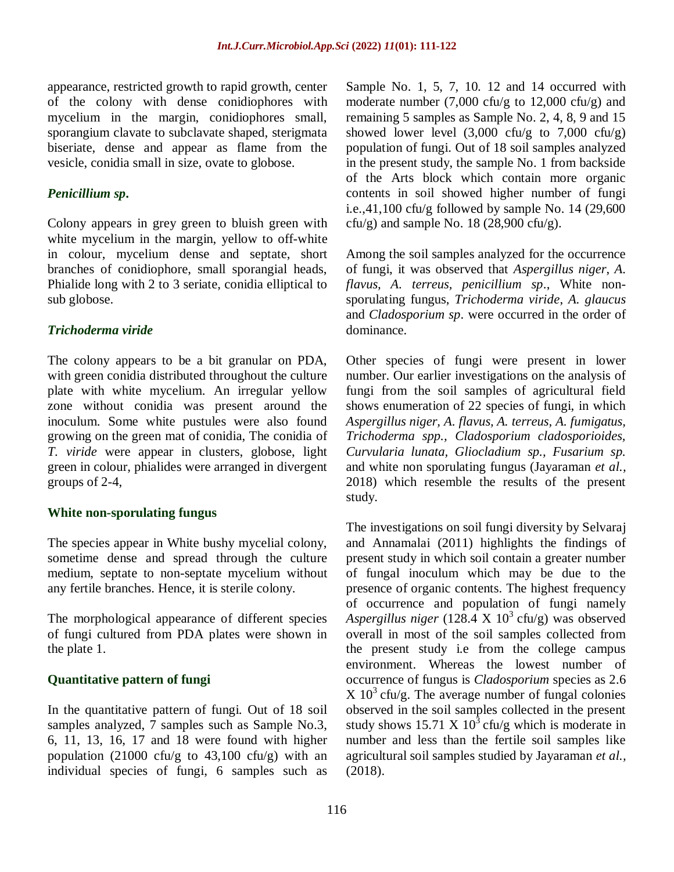appearance, restricted growth to rapid growth, center of the colony with dense conidiophores with mycelium in the margin, conidiophores small, sporangium clavate to subclavate shaped, sterigmata biseriate, dense and appear as flame from the vesicle, conidia small in size, ovate to globose.

## *Penicillium sp***.**

Colony appears in grey green to bluish green with white mycelium in the margin, yellow to off-white in colour, mycelium dense and septate, short branches of conidiophore, small sporangial heads, Phialide long with 2 to 3 seriate, conidia elliptical to sub globose.

## *Trichoderma viride*

The colony appears to be a bit granular on PDA, with green conidia distributed throughout the culture plate with white mycelium. An irregular yellow zone without conidia was present around the inoculum. Some white pustules were also found growing on the green mat of conidia, The conidia of *T. viride* were appear in clusters, globose, light green in colour, phialides were arranged in divergent groups of 2-4,

## **White non-sporulating fungus**

The species appear in White bushy mycelial colony, sometime dense and spread through the culture medium, septate to non-septate mycelium without any fertile branches. Hence, it is sterile colony.

The morphological appearance of different species of fungi cultured from PDA plates were shown in the plate 1.

## **Quantitative pattern of fungi**

In the quantitative pattern of fungi. Out of 18 soil samples analyzed, 7 samples such as Sample No.3, 6, 11, 13, 16, 17 and 18 were found with higher population (21000 cfu/g to  $43,100$  cfu/g) with an individual species of fungi, 6 samples such as Sample No. 1, 5, 7, 10. 12 and 14 occurred with moderate number (7,000 cfu/g to 12,000 cfu/g) and remaining 5 samples as Sample No. 2, 4, 8, 9 and 15 showed lower level  $(3,000 \text{ cfu/g})$  to  $7,000 \text{ cfu/g}$ population of fungi. Out of 18 soil samples analyzed in the present study, the sample No. 1 from backside of the Arts block which contain more organic contents in soil showed higher number of fungi i.e.,41,100 cfu/g followed by sample No. 14  $(29,600)$ cfu/g) and sample No. 18 (28,900 cfu/g).

Among the soil samples analyzed for the occurrence of fungi, it was observed that *Aspergillus niger*, *A. flavus, A. terreus, penicillium sp*., White nonsporulating fungus, *Trichoderma viride*, *A. glaucus*  and *Cladosporium sp*. were occurred in the order of dominance.

Other species of fungi were present in lower number. Our earlier investigations on the analysis of fungi from the soil samples of agricultural field shows enumeration of 22 species of fungi, in which *Aspergillus niger, A. flavus, A. terreus, A. fumigatus, Trichoderma spp., Cladosporium cladosporioides, Curvularia lunata, Gliocladium sp., Fusarium sp.* and white non sporulating fungus (Jayaraman *et al.,* 2018) which resemble the results of the present study.

The investigations on soil fungi diversity by Selvaraj and Annamalai (2011) highlights the findings of present study in which soil contain a greater number of fungal inoculum which may be due to the presence of organic contents. The highest frequency of occurrence and population of fungi namely *Aspergillus niger* (128.4 X  $10^3$  cfu/g) was observed overall in most of the soil samples collected from the present study i.e from the college campus environment. Whereas the lowest number of occurrence of fungus is *Cladosporium* species as 2.6  $X 10<sup>3</sup>$  cfu/g. The average number of fungal colonies observed in the soil samples collected in the present study shows 15.71 X  $10^3$  cfu/g which is moderate in number and less than the fertile soil samples like agricultural soil samples studied by Jayaraman *et al.,* (2018).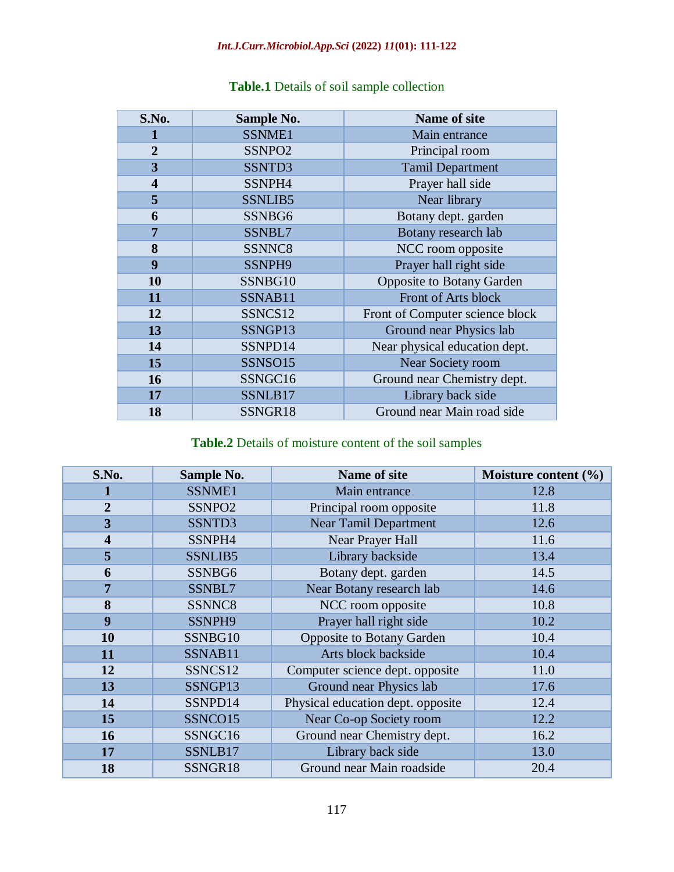# *Int.J.Curr.Microbiol.App.Sci* **(2022)** *11***(01): 111-122**

| S.No.                   | Sample No.         | <b>Name of site</b>              |  |  |
|-------------------------|--------------------|----------------------------------|--|--|
| 1                       | SSNME1             | Main entrance                    |  |  |
| $\overline{2}$          | SSNPO <sub>2</sub> | Principal room                   |  |  |
| 3                       | SSNTD3             | <b>Tamil Department</b>          |  |  |
| $\overline{\mathbf{4}}$ | SSNPH4             | Prayer hall side                 |  |  |
| 5                       | SSNLIB5            | Near library                     |  |  |
| 6                       | SSNBG6             | Botany dept. garden              |  |  |
| $\overline{7}$          | SSNBL7             | Botany research lab              |  |  |
| 8                       | SSNNC8             | NCC room opposite                |  |  |
| 9                       | SSNPH9             | Prayer hall right side           |  |  |
| 10                      | SSNBG10            | <b>Opposite to Botany Garden</b> |  |  |
| 11                      | SSNAB11            | Front of Arts block              |  |  |
| 12                      | SSNCS12            | Front of Computer science block  |  |  |
| 13                      | SSNGP13            | Ground near Physics lab          |  |  |
| 14                      | SSNPD14            | Near physical education dept.    |  |  |
| 15                      | SSNSO15            | Near Society room                |  |  |
| 16                      | SSNGC16            | Ground near Chemistry dept.      |  |  |
| 17                      | SSNLB17            | Library back side                |  |  |
| 18                      | SSNGR18            | Ground near Main road side       |  |  |

# **Table.1** Details of soil sample collection

# **Table.2** Details of moisture content of the soil samples

| S.No.                   | Sample No.         | Name of site                      | Moisture content (%) |  |
|-------------------------|--------------------|-----------------------------------|----------------------|--|
|                         | SSNME1             | Main entrance                     | 12.8                 |  |
| $\overline{2}$          | SSNPO <sub>2</sub> | Principal room opposite           | 11.8                 |  |
| 3                       | SSNTD3             | <b>Near Tamil Department</b>      | 12.6                 |  |
| $\overline{\mathbf{4}}$ | SSNPH4             | Near Prayer Hall                  | 11.6                 |  |
| 5                       | SSNLIB5            | Library backside                  | 13.4                 |  |
| 6                       | SSNBG6             | Botany dept. garden               | 14.5                 |  |
| $\overline{7}$          | SSNBL7             | Near Botany research lab          | 14.6                 |  |
| 8                       | SSNNC8             | NCC room opposite                 | 10.8                 |  |
| 9                       | SSNPH9             | Prayer hall right side            | 10.2                 |  |
| 10                      | SSNBG10            | <b>Opposite to Botany Garden</b>  | 10.4                 |  |
| 11                      | SSNAB11            | Arts block backside               | 10.4                 |  |
| 12                      | SSNCS12            | Computer science dept. opposite   | 11.0                 |  |
| 13                      | SSNGP13            | Ground near Physics lab           | 17.6                 |  |
| 14                      | SSNPD14            | Physical education dept. opposite | 12.4                 |  |
| 15                      | SSNCO15            | Near Co-op Society room           | 12.2                 |  |
| <b>16</b>               | SSNGC16            | Ground near Chemistry dept.       | 16.2                 |  |
| 17                      | SSNLB17            | Library back side                 | 13.0                 |  |
| 18                      | SSNGR18            | Ground near Main roadside         | 20.4                 |  |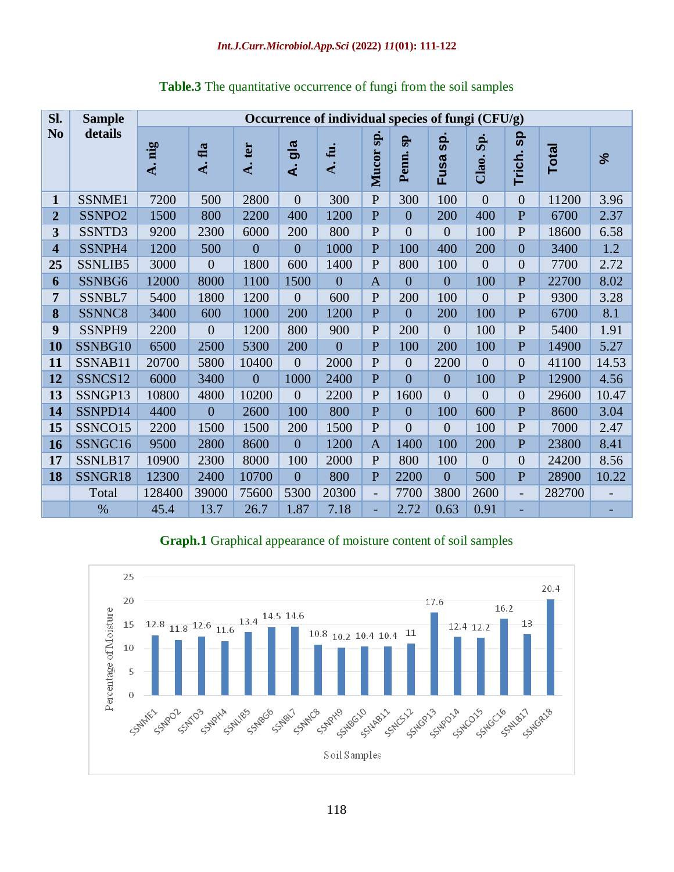| Sl.                     | <b>Sample</b>      | Occurrence of individual species of fungi (CFU/g) |                |                           |                |                |               |                      |                |                |                    |              |       |
|-------------------------|--------------------|---------------------------------------------------|----------------|---------------------------|----------------|----------------|---------------|----------------------|----------------|----------------|--------------------|--------------|-------|
| N <sub>0</sub>          | details            | A. nig                                            | A. fla         | ter<br>$\dot{\mathbf{A}}$ | gla<br>दं      | A.fu.          | sp.<br>Mucor  | $s_{\rm P}$<br>Penn. | Sp.<br>Fusa    | Sp.<br>Clao.   | <b>g</b><br>Trich. | <b>Total</b> | ಸ     |
| $\mathbf{1}$            | SSNME1             | 7200                                              | 500            | 2800                      | $\overline{0}$ | 300            | $\mathbf{P}$  | 300                  | 100            | $\theta$       | $\overline{0}$     | 11200        | 3.96  |
| $\overline{2}$          | SSNPO <sub>2</sub> | 1500                                              | 800            | 2200                      | 400            | 1200           | $\mathbf{P}$  | $\overline{0}$       | 200            | 400            | $\overline{P}$     | 6700         | 2.37  |
| $\overline{\mathbf{3}}$ | SSNTD3             | 9200                                              | 2300           | 6000                      | 200            | 800            | $\mathbf{P}$  | $\overline{0}$       | $\overline{0}$ | 100            | $\mathbf{P}$       | 18600        | 6.58  |
| $\overline{\mathbf{4}}$ | SSNPH4             | 1200                                              | 500            | $\overline{0}$            | $\overline{0}$ | 1000           | $\mathbf{P}$  | 100                  | 400            | 200            | $\overline{0}$     | 3400         | 1.2   |
| 25                      | SSNLIB5            | 3000                                              | $\overline{0}$ | 1800                      | 600            | 1400           | $\mathbf{P}$  | 800                  | 100            | $\overline{0}$ | $\overline{0}$     | 7700         | 2.72  |
| 6                       | SSNBG6             | 12000                                             | 8000           | 1100                      | 1500           | $\overline{0}$ | $\mathbf{A}$  | $\overline{0}$       | $\overline{0}$ | 100            | $\mathbf{P}$       | 22700        | 8.02  |
| 7                       | SSNBL7             | 5400                                              | 1800           | 1200                      | $\overline{0}$ | 600            | $\mathbf{P}$  | 200                  | 100            | $\overline{0}$ | $\mathbf{P}$       | 9300         | 3.28  |
| 8                       | SSNNC8             | 3400                                              | 600            | 1000                      | 200            | 1200           | $\mathbf{P}$  | $\overline{0}$       | 200            | 100            | P                  | 6700         | 8.1   |
| 9                       | SSNPH9             | 2200                                              | $\overline{0}$ | 1200                      | 800            | 900            | $\mathbf{P}$  | 200                  | $\overline{0}$ | 100            | $\mathbf{P}$       | 5400         | 1.91  |
| 10                      | SSNBG10            | 6500                                              | 2500           | 5300                      | 200            | $\overline{0}$ | $\mathbf{P}$  | 100                  | 200            | 100            | $\mathbf{P}$       | 14900        | 5.27  |
| 11                      | SSNAB11            | 20700                                             | 5800           | 10400                     | $\overline{0}$ | 2000           | $\mathbf{P}$  | $\overline{0}$       | 2200           | $\overline{0}$ | $\overline{0}$     | 41100        | 14.53 |
| 12                      | SSNCS12            | 6000                                              | 3400           | $\overline{0}$            | 1000           | 2400           | $\mathbf{P}$  | $\overline{0}$       | $\overline{0}$ | 100            | P                  | 12900        | 4.56  |
| 13                      | SSNGP13            | 10800                                             | 4800           | 10200                     | $\overline{0}$ | 2200           | $\mathbf{P}$  | 1600                 | $\overline{0}$ | $\overline{0}$ | $\overline{0}$     | 29600        | 10.47 |
| 14                      | SSNPD14            | 4400                                              | $\overline{0}$ | 2600                      | 100            | 800            | $\mathbf{P}$  | $\overline{0}$       | 100            | 600            | $\mathbf{P}$       | 8600         | 3.04  |
| 15                      | SSNCO15            | 2200                                              | 1500           | 1500                      | 200            | 1500           | $\mathbf{P}$  | $\overline{0}$       | $\overline{0}$ | 100            | $\mathbf{P}$       | 7000         | 2.47  |
| 16                      | SSNGC16            | 9500                                              | 2800           | 8600                      | $\overline{0}$ | 1200           | $\mathbf{A}$  | 1400                 | 100            | 200            | $\overline{P}$     | 23800        | 8.41  |
| 17                      | SSNLB17            | 10900                                             | 2300           | 8000                      | 100            | 2000           | $\mathbf{P}$  | 800                  | 100            | $\overline{0}$ | $\overline{0}$     | 24200        | 8.56  |
| 18                      | SSNGR18            | 12300                                             | 2400           | 10700                     | $\overline{0}$ | 800            | $\mathbf{P}$  | 2200                 | $\overline{0}$ | 500            | $\mathbf{P}$       | 28900        | 10.22 |
|                         | Total              | 128400                                            | 39000          | 75600                     | 5300           | 20300          | $\frac{1}{2}$ | 7700                 | 3800           | 2600           | $\overline{a}$     | 282700       |       |
|                         | $\%$               | 45.4                                              | 13.7           | 26.7                      | 1.87           | 7.18           | ٠             | 2.72                 | 0.63           | 0.91           |                    |              |       |

**Table.3** The quantitative occurrence of fungi from the soil samples

# **Graph.1** Graphical appearance of moisture content of soil samples

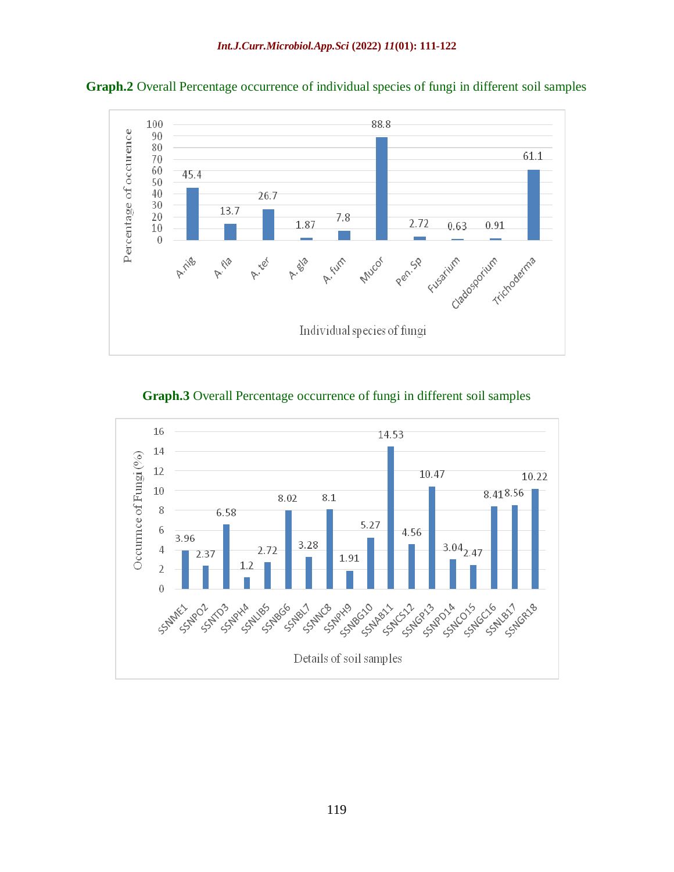

**Graph.2** Overall Percentage occurrence of individual species of fungi in different soil samples

**Graph.3** Overall Percentage occurrence of fungi in different soil samples

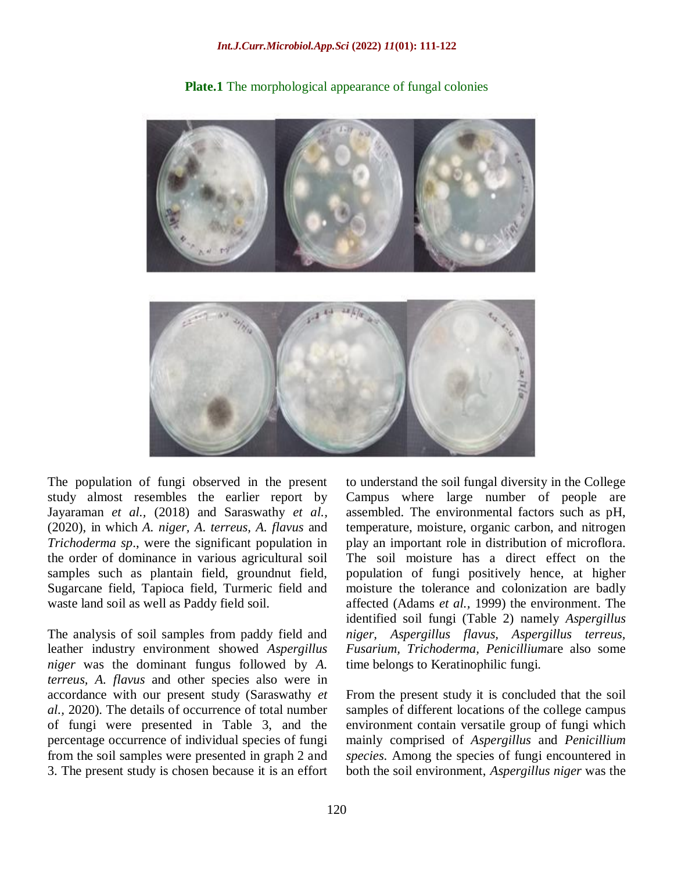

**Plate.1** The morphological appearance of fungal colonies

The population of fungi observed in the present study almost resembles the earlier report by Jayaraman *et al.,* (2018) and Saraswathy *et al.,* (2020), in which *A. niger, A. terreus, A. flavus* and *Trichoderma sp*., were the significant population in the order of dominance in various agricultural soil samples such as plantain field, groundnut field, Sugarcane field, Tapioca field, Turmeric field and waste land soil as well as Paddy field soil.

The analysis of soil samples from paddy field and leather industry environment showed *Aspergillus niger* was the dominant fungus followed by *A. terreus, A. flavus* and other species also were in accordance with our present study (Saraswathy *et al.,* 2020). The details of occurrence of total number of fungi were presented in Table 3, and the percentage occurrence of individual species of fungi from the soil samples were presented in graph 2 and 3. The present study is chosen because it is an effort

to understand the soil fungal diversity in the College Campus where large number of people are assembled. The environmental factors such as pH, temperature, moisture, organic carbon, and nitrogen play an important role in distribution of microflora. The soil moisture has a direct effect on the population of fungi positively hence, at higher moisture the tolerance and colonization are badly affected (Adams *et al.,* 1999) the environment. The identified soil fungi (Table 2) namely *Aspergillus niger, Aspergillus flavus, Aspergillus terreus, Fusarium, Trichoderma, Penicillium*are also some time belongs to Keratinophilic fungi.

From the present study it is concluded that the soil samples of different locations of the college campus environment contain versatile group of fungi which mainly comprised of *Aspergillus* and *Penicillium species*. Among the species of fungi encountered in both the soil environment, *Aspergillus niger* was the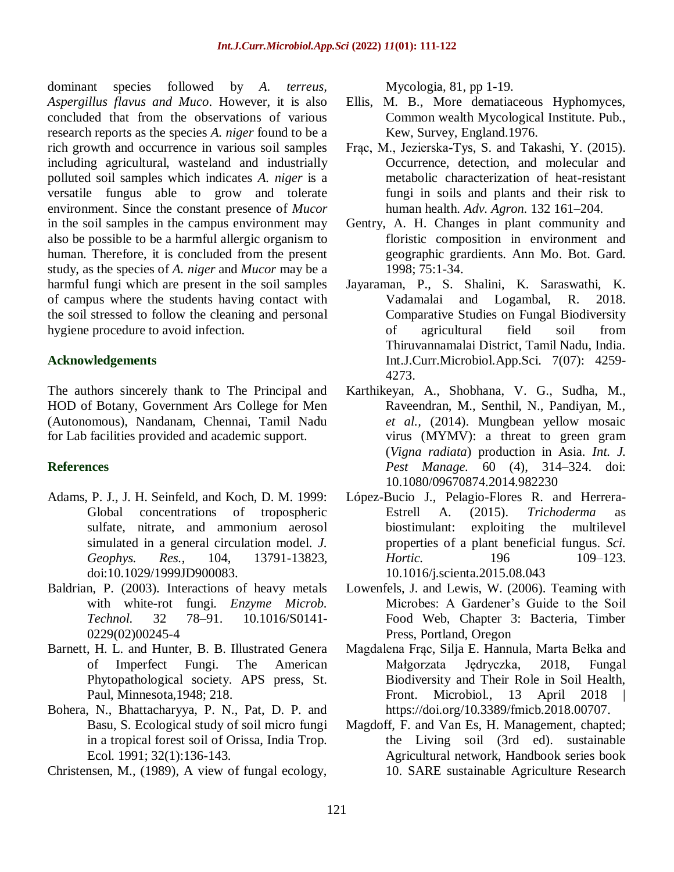dominant species followed by *A. terreus, Aspergillus flavus and Muco*. However, it is also concluded that from the observations of various research reports as the species *A. niger* found to be a rich growth and occurrence in various soil samples including agricultural, wasteland and industrially polluted soil samples which indicates *A. niger* is a versatile fungus able to grow and tolerate environment. Since the constant presence of *Mucor* in the soil samples in the campus environment may also be possible to be a harmful allergic organism to human. Therefore, it is concluded from the present study, as the species of *A. niger* and *Mucor* may be a harmful fungi which are present in the soil samples of campus where the students having contact with the soil stressed to follow the cleaning and personal hygiene procedure to avoid infection.

## **Acknowledgements**

The authors sincerely thank to The Principal and HOD of Botany, Government Ars College for Men (Autonomous), Nandanam, Chennai, Tamil Nadu for Lab facilities provided and academic support.

## **References**

- Adams, P. J., J. H. Seinfeld, and Koch, D. M. 1999: Global concentrations of tropospheric sulfate, nitrate, and ammonium aerosol simulated in a general circulation model. *J. Geophys. Res.*, 104, 13791-13823, doi:10.1029/1999JD900083.
- Baldrian, P. (2003). Interactions of heavy metals with white-rot fungi. *Enzyme Microb. Technol.* 32 78–91. 10.1016/S0141- 0229(02)00245-4
- Barnett, H. L. and Hunter, B. B. Illustrated Genera of Imperfect Fungi. The American Phytopathological society. APS press, St. Paul, Minnesota,1948; 218.
- Bohera, N., Bhattacharyya, P. N., Pat, D. P. and Basu, S. Ecological study of soil micro fungi in a tropical forest soil of Orissa, India Trop. Ecol. 1991; 32(1):136-143.
- Christensen, M., (1989), A view of fungal ecology,

Mycologia, 81, pp 1-19.

- Ellis, M. B., More dematiaceous Hyphomyces, Common wealth Mycological Institute. Pub., Kew, Survey, England.1976.
- Frąc, M., Jezierska-Tys, S. and Takashi, Y. (2015). Occurrence, detection, and molecular and metabolic characterization of heat-resistant fungi in soils and plants and their risk to human health. *Adv. Agron.* 132 161–204.
- Gentry, A. H. Changes in plant community and floristic composition in environment and geographic grardients. Ann Mo. Bot. Gard. 1998; 75:1-34.
- Jayaraman, P., S. Shalini, K. Saraswathi, K. Vadamalai and Logambal, R. 2018. Comparative Studies on Fungal Biodiversity of agricultural field soil from Thiruvannamalai District, Tamil Nadu, India. Int.J.Curr.Microbiol.App.Sci. 7(07): 4259- 4273.
- Karthikeyan, A., Shobhana, V. G., Sudha, M., Raveendran, M., Senthil, N., Pandiyan, M., *et al.,* (2014). Mungbean yellow mosaic virus (MYMV): a threat to green gram (*Vigna radiata*) production in Asia. *Int. J. Pest Manage.* 60 (4), 314–324. doi: 10.1080/09670874.2014.982230
- López-Bucio J., Pelagio-Flores R. and Herrera-Estrell A. (2015). *Trichoderma* as biostimulant: exploiting the multilevel properties of a plant beneficial fungus. *Sci. Hortic.* 196 109–123. 10.1016/j.scienta.2015.08.043
- Lowenfels, J. and Lewis, W. (2006). Teaming with Microbes: A Gardener's Guide to the Soil Food Web, Chapter 3: Bacteria, Timber Press, Portland, Oregon
- [Magdalena Frąc,](http://www.frontiersin.org/people/u/314409) [Silja E. Hannula,](http://www.frontiersin.org/people/u/339601) [Marta Bełka](http://www.frontiersin.org/people/u/502057) and [Małgorzata Jędryczka,](http://www.frontiersin.org/people/u/393834) 2018, Fungal Biodiversity and Their Role in Soil Health, Front. Microbiol., 13 April 2018 [https://doi.org/10.3389/fmicb.2018.00707.](https://doi.org/10.3389/fmicb.2018.00707)
- Magdoff, F. and Van Es, H. Management, chapted; the Living soil (3rd ed). sustainable Agricultural network, Handbook series book 10. SARE sustainable Agriculture Research